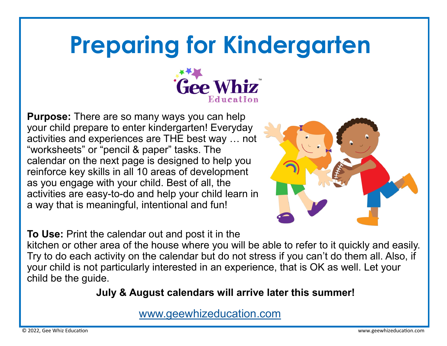## **Preparing for Kindergarten**



**Purpose:** There are so many ways you can help your child prepare to enter kindergarten! Everyday activities and experiences are THE best way … not "worksheets" or "pencil & paper" tasks. The calendar on the next page is designed to help you reinforce key skills in all 10 areas of development as you engage with your child. Best of all, the activities are easy-to-do and help your child learn in a way that is meaningful, intentional and fun!



**To Use:** Print the calendar out and post it in the

kitchen or other area of the house where you will be able to refer to it quickly and easily. Try to do each activity on the calendar but do not stress if you can't do them all. Also, if your child is not particularly interested in an experience, that is OK as well. Let your child be the guide.

## **July & August calendars will arrive later this summer!**

[www.geewhizeducation.com](https://geewhizeducation.com/)